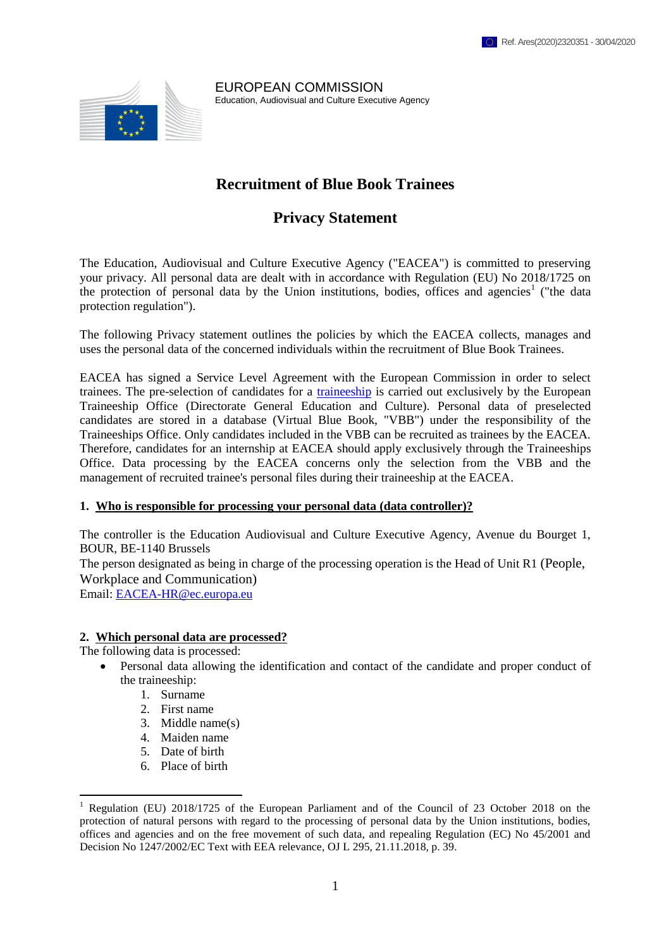

EUROPEAN COMMISSION Education, Audiovisual and Culture Executive Agency

# **Recruitment of Blue Book Trainees**

# **Privacy Statement**

The Education, Audiovisual and Culture Executive Agency ("EACEA") is committed to preserving your privacy. All personal data are dealt with in accordance with Regulation (EU) No 2018/1725 on the protection of personal data by the Union institutions, bodies, offices and agencies<sup>1</sup> ("the data protection regulation").

The following Privacy statement outlines the policies by which the EACEA collects, manages and uses the personal data of the concerned individuals within the recruitment of Blue Book Trainees.

EACEA has signed a Service Level Agreement with the European Commission in order to select trainees. The pre-selection of candidates for a [traineeship](http://ec.europa.eu/stages) is carried out exclusively by the European Traineeship Office (Directorate General Education and Culture). Personal data of preselected candidates are stored in a database (Virtual Blue Book, "VBB") under the responsibility of the Traineeships Office. Only candidates included in the VBB can be recruited as trainees by the EACEA. Therefore, candidates for an internship at EACEA should apply exclusively through the Traineeships Office. Data processing by the EACEA concerns only the selection from the VBB and the management of recruited trainee's personal files during their traineeship at the EACEA.

#### **1. Who is responsible for processing your personal data (data controller)?**

The controller is the Education Audiovisual and Culture Executive Agency, Avenue du Bourget 1, BOUR, BE-1140 Brussels

The person designated as being in charge of the processing operation is the Head of Unit R1 (People, Workplace and Communication)

Email: [EACEA-HR@ec.europa.eu](mailto:EACEA-HR@ec.europa.eu)

### **2. Which personal data are processed?**

The following data is processed:

1

- Personal data allowing the identification and contact of the candidate and proper conduct of the traineeship:
	- 1. Surname
	- 2. First name
	- 3. Middle name(s)
	- 4. Maiden name
	- 5. Date of birth
	- 6. Place of birth

<sup>1</sup> Regulation (EU) 2018/1725 of the European Parliament and of the Council of 23 October 2018 on the protection of natural persons with regard to the processing of personal data by the Union institutions, bodies, offices and agencies and on the free movement of such data, and repealing Regulation (EC) No 45/2001 and Decision No 1247/2002/EC Text with EEA relevance, OJ L 295, 21.11.2018, p. 39*.*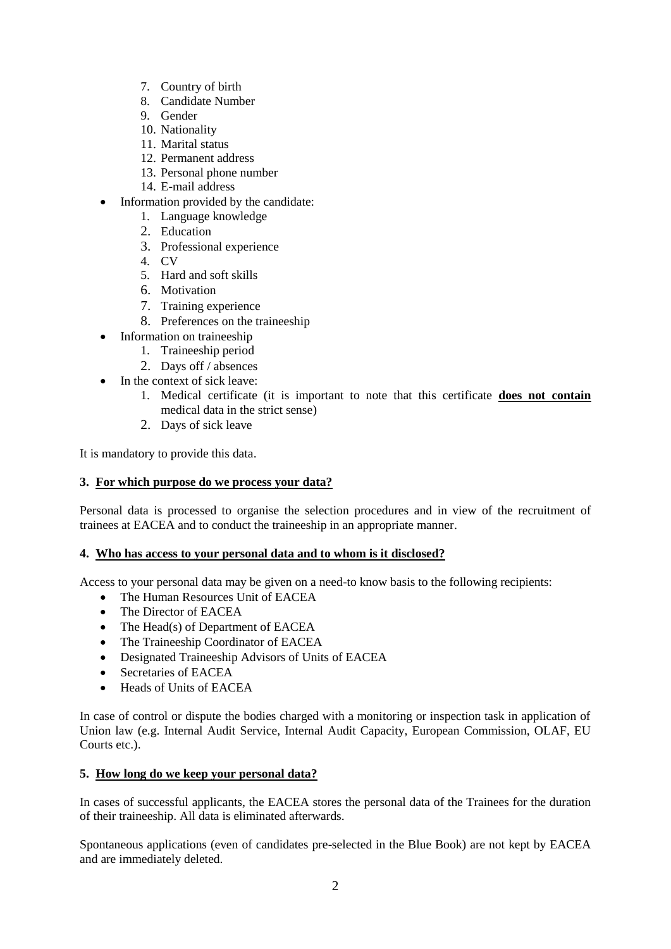- 7. Country of birth
- 8. Candidate Number
- 9. Gender
- 10. Nationality
- 11. Marital status
- 12. Permanent address
- 13. Personal phone number
- 14. E-mail address
- Information provided by the candidate:
	- 1. Language knowledge
	- 2. Education
	- 3. Professional experience
	- 4. CV
	- 5. Hard and soft skills
	- 6. Motivation
	- 7. Training experience
	- 8. Preferences on the traineeship
- Information on traineeship
	- 1. Traineeship period
	- 2. Days off / absences
- In the context of sick leave:
	- 1. Medical certificate (it is important to note that this certificate **does not contain** medical data in the strict sense)
	- 2. Days of sick leave

It is mandatory to provide this data.

# **3. For which purpose do we process your data?**

Personal data is processed to organise the selection procedures and in view of the recruitment of trainees at EACEA and to conduct the traineeship in an appropriate manner.

# **4. Who has access to your personal data and to whom is it disclosed?**

Access to your personal data may be given on a need-to know basis to the following recipients:

- The Human Resources Unit of EACEA
- The Director of EACEA
- The Head(s) of Department of EACEA
- The Traineeship Coordinator of EACEA
- Designated Traineeship Advisors of Units of EACEA
- Secretaries of EACEA
- Heads of Units of EACEA

In case of control or dispute the bodies charged with a monitoring or inspection task in application of Union law (e.g. Internal Audit Service, Internal Audit Capacity, European Commission, OLAF, EU Courts etc.).

# **5. How long do we keep your personal data?**

In cases of successful applicants, the EACEA stores the personal data of the Trainees for the duration of their traineeship. All data is eliminated afterwards.

Spontaneous applications (even of candidates pre-selected in the Blue Book) are not kept by EACEA and are immediately deleted.